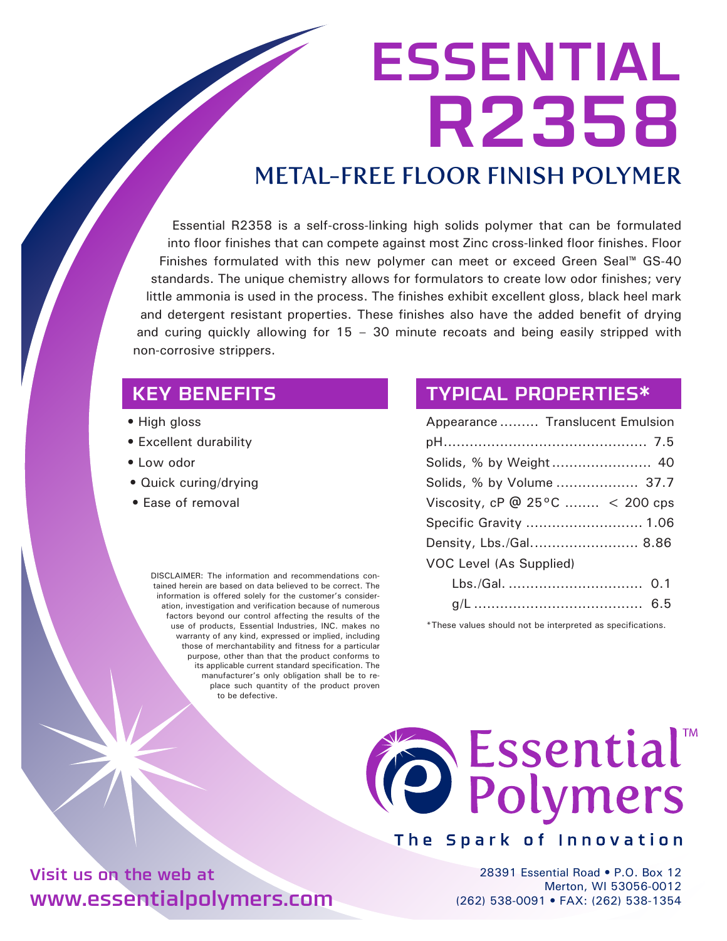# ESSENTIAL R2358

# METAL-FREE FLOOR FINISH POLYMER

Essential R2358 is a self-cross-linking high solids polymer that can be formulated into floor finishes that can compete against most Zinc cross-linked floor finishes. Floor Finishes formulated with this new polymer can meet or exceed Green Seal™ GS-40 standards. The unique chemistry allows for formulators to create low odor finishes; very little ammonia is used in the process. The finishes exhibit excellent gloss, black heel mark and detergent resistant properties. These finishes also have the added benefit of drying and curing quickly allowing for 15 – 30 minute recoats and being easily stripped with non-corrosive strippers.

#### KEY BENEFITS

- High gloss
- Excellent durability
- Low odor
- Quick curing/drying
- Ease of removal

DISCLAIMER: The information and recommendations contained herein are based on data believed to be correct. The information is offered solely for the customer's consideration, investigation and verification because of numerous factors beyond our control affecting the results of the use of products, Essential Industries, INC. makes no warranty of any kind, expressed or implied, including those of merchantability and fitness for a particular purpose, other than that the product conforms to its applicable current standard specification. The manufacturer's only obligation shall be to replace such quantity of the product proven to be defective.

#### TYPICAL PROPERTIES\*

| Appearance  Translucent Emulsion                                                                                                                                                                                                                                    |  |
|---------------------------------------------------------------------------------------------------------------------------------------------------------------------------------------------------------------------------------------------------------------------|--|
|                                                                                                                                                                                                                                                                     |  |
|                                                                                                                                                                                                                                                                     |  |
| Solids, % by Volume  37.7                                                                                                                                                                                                                                           |  |
| Viscosity, cP $@$ 25°C  < 200 cps                                                                                                                                                                                                                                   |  |
| Specific Gravity  1.06                                                                                                                                                                                                                                              |  |
| Density, Lbs./Gal 8.86                                                                                                                                                                                                                                              |  |
| VOC Level (As Supplied)                                                                                                                                                                                                                                             |  |
|                                                                                                                                                                                                                                                                     |  |
| $\sim$ 0.000 $\sim$ 0.000 $\sim$ 0.000 $\sim$ 0.000 $\sim$ 0.000 $\sim$ 0.000 $\sim$ 0.000 $\sim$ 0.000 $\sim$ 0.000 $\sim$ 0.000 $\sim$ 0.000 $\sim$ 0.000 $\sim$ 0.000 $\sim$ 0.000 $\sim$ 0.000 $\sim$ 0.000 $\sim$ 0.000 $\sim$ 0.000 $\sim$ 0.000 $\sim$ 0.000 |  |

g/L ....................................... 6.5

\*These values should not be interpreted as specifications.



#### The Spark of Innovation

28391 Essential Road • P.O. Box 12 Merton, WI 53056-0012 (262) 538-0091 • FAX: (262) 538-1354

Visit us on the web at www.essentialpolymers.com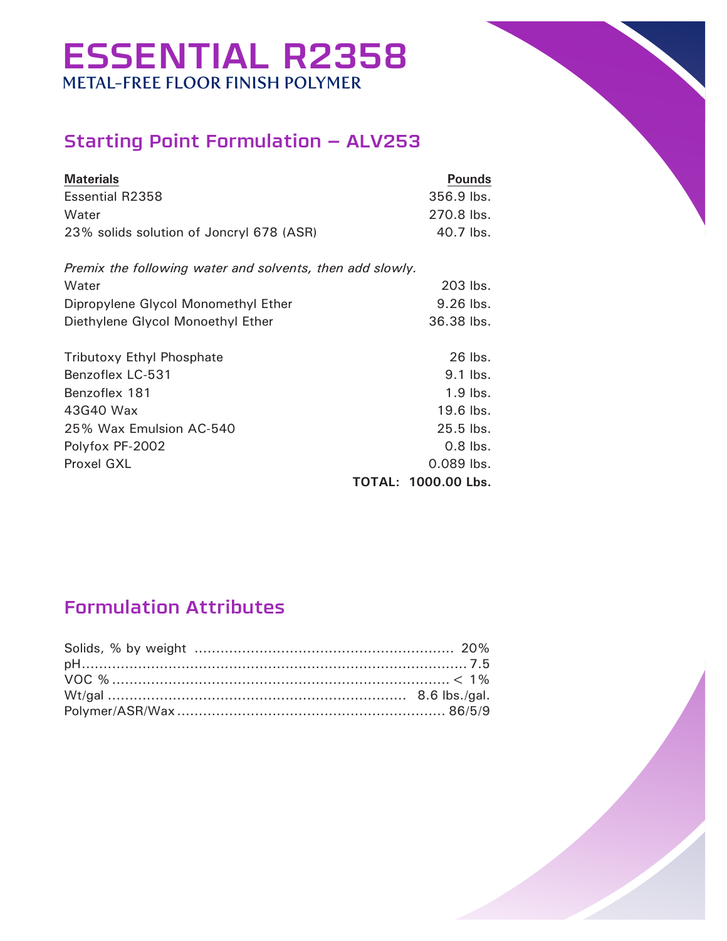# ESSENTIAL R2358 METAL-FREE FLOOR FINISH POLYMER

## Starting Point Formulation – ALV253

| <b>Materials</b>                                                                                                                               | <b>Pounds</b>                                                                                                          |
|------------------------------------------------------------------------------------------------------------------------------------------------|------------------------------------------------------------------------------------------------------------------------|
| <b>Essential R2358</b>                                                                                                                         | $356.9$ lbs.                                                                                                           |
| Water                                                                                                                                          | 270.8 lbs.                                                                                                             |
| 23% solids solution of Joncryl 678 (ASR)                                                                                                       | 40.7 lbs.                                                                                                              |
| Premix the following water and solvents, then add slowly.<br>Water                                                                             | 203 lbs.                                                                                                               |
| Dipropylene Glycol Monomethyl Ether                                                                                                            | 9.26 lbs.                                                                                                              |
| Diethylene Glycol Monoethyl Ether                                                                                                              | 36.38 lbs.                                                                                                             |
| <b>Tributoxy Ethyl Phosphate</b><br>Benzoflex LC-531<br>Benzoflex 181<br>43G40 Wax<br>25% Wax Emulsion AC-540<br>Polyfox PF-2002<br>Proxel GXL | 26 lbs.<br>$9.1$ lbs.<br>$1.9$ lbs.<br>$19.6$ lbs.<br>$25.5$ lbs.<br>$0.8$ lbs.<br>$0.089$ lbs.<br>TOTAL: 1000.00 Lbs. |

## Formulation Attributes